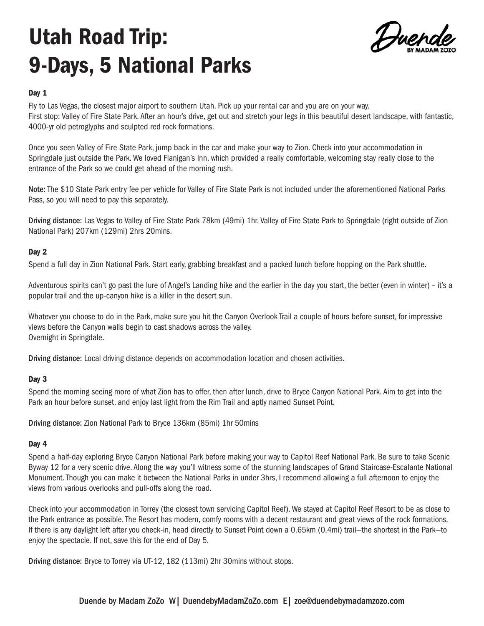# Utah Road Trip: 9-Days, 5 National Parks

Duend

## Day 1

Fly to Las Vegas, the closest major airport to southern Utah. Pick up your rental car and you are on your way. First stop: Valley of Fire State Park. After an hour's drive, get out and stretch your legs in this beautiful desert landscape, with fantastic, 4000-yr old petroglyphs and sculpted red rock formations.

Once you seen Valley of Fire State Park, jump back in the car and make your way to Zion. Check into your accommodation in Springdale just outside the Park. We loved Flanigan's Inn, which provided a really comfortable, welcoming stay really close to the entrance of the Park so we could get ahead of the morning rush.

Note: The \$10 State Park entry fee per vehicle for Valley of Fire State Park is not included under the aforementioned National Parks Pass, so you will need to pay this separately.

Driving distance: Las Vegas to Valley of Fire State Park 78km (49mi) 1hr. Valley of Fire State Park to Springdale (right outside of Zion National Park) 207km (129mi) 2hrs 20mins.

## Day 2

Spend a full day in Zion National Park. Start early, grabbing breakfast and a packed lunch before hopping on the Park shuttle.

Adventurous spirits can't go past the lure of Angel's Landing hike and the earlier in the day you start, the better (even in winter) – it's a popular trail and the up-canyon hike is a killer in the desert sun.

Whatever you choose to do in the Park, make sure you hit the Canyon Overlook Trail a couple of hours before sunset, for impressive views before the Canyon walls begin to cast shadows across the valley. Overnight in Springdale.

Driving distance: Local driving distance depends on accommodation location and chosen activities.

### Day 3

Spend the morning seeing more of what Zion has to offer, then after lunch, drive to Bryce Canyon National Park. Aim to get into the Park an hour before sunset, and enjoy last light from the Rim Trail and aptly named Sunset Point.

Driving distance: Zion National Park to Bryce 136km (85mi) 1hr 50mins

### Day 4

Spend a half-day exploring Bryce Canyon National Park before making your way to Capitol Reef National Park. Be sure to take Scenic Byway 12 for a very scenic drive. Along the way you'll witness some of the stunning landscapes of Grand Staircase-Escalante National Monument. Though you can make it between the National Parks in under 3hrs, I recommend allowing a full afternoon to enjoy the views from various overlooks and pull-offs along the road.

Check into your accommodation in Torrey (the closest town servicing Capitol Reef). We stayed at Capitol Reef Resort to be as close to the Park entrance as possible. The Resort has modern, comfy rooms with a decent restaurant and great views of the rock formations. If there is any daylight left after you check-in, head directly to Sunset Point down a 0.65km (0.4mi) trail—the shortest in the Park—to enjoy the spectacle. If not, save this for the end of Day 5.

Driving distance: Bryce to Torrey via UT-12, 182 (113mi) 2hr 30mins without stops.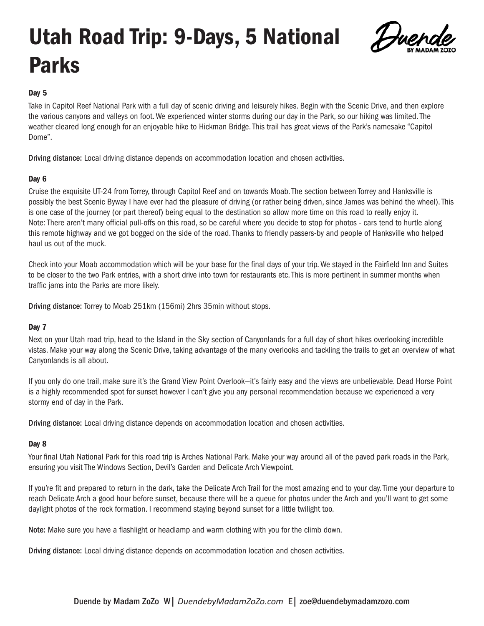## Utah Road Trip: 9-Days, 5 National Parks



## Day 5

Take in Capitol Reef National Park with a full day of scenic driving and leisurely hikes. Begin with the Scenic Drive, and then explore the various canyons and valleys on foot. We experienced winter storms during our day in the Park, so our hiking was limited. The weather cleared long enough for an enjoyable hike to Hickman Bridge. This trail has great views of the Park's namesake "Capitol Dome".

Driving distance: Local driving distance depends on accommodation location and chosen activities.

## Day 6

Cruise the exquisite UT-24 from Torrey, through Capitol Reef and on towards Moab. The section between Torrey and Hanksville is possibly the best Scenic Byway I have ever had the pleasure of driving (or rather being driven, since James was behind the wheel). This is one case of the journey (or part thereof) being equal to the destination so allow more time on this road to really enjoy it. Note: There aren't many official pull-offs on this road, so be careful where you decide to stop for photos - cars tend to hurtle along this remote highway and we got bogged on the side of the road. Thanks to friendly passers-by and people of Hanksville who helped haul us out of the muck.

Check into your Moab accommodation which will be your base for the final days of your trip. We stayed in the Fairfield Inn and Suites to be closer to the two Park entries, with a short drive into town for restaurants etc. This is more pertinent in summer months when traffic jams into the Parks are more likely.

Driving distance: Torrey to Moab 251km (156mi) 2hrs 35min without stops.

## Day 7

Next on your Utah road trip, head to the Island in the Sky section of Canyonlands for a full day of short hikes overlooking incredible vistas. Make your way along the Scenic Drive, taking advantage of the many overlooks and tackling the trails to get an overview of what Canyonlands is all about.

If you only do one trail, make sure it's the Grand View Point Overlook—it's fairly easy and the views are unbelievable. Dead Horse Point is a highly recommended spot for sunset however I can't give you any personal recommendation because we experienced a very stormy end of day in the Park.

Driving distance: Local driving distance depends on accommodation location and chosen activities.

### Day 8

Your final Utah National Park for this road trip is Arches National Park. Make your way around all of the paved park roads in the Park, ensuring you visit The Windows Section, Devil's Garden and Delicate Arch Viewpoint.

If you're fit and prepared to return in the dark, take the Delicate Arch Trail for the most amazing end to your day. Time your departure to reach Delicate Arch a good hour before sunset, because there will be a queue for photos under the Arch and you'll want to get some daylight photos of the rock formation. I recommend staying beyond sunset for a little twilight too.

Note: Make sure you have a flashlight or headlamp and warm clothing with you for the climb down.

Driving distance: Local driving distance depends on accommodation location and chosen activities.